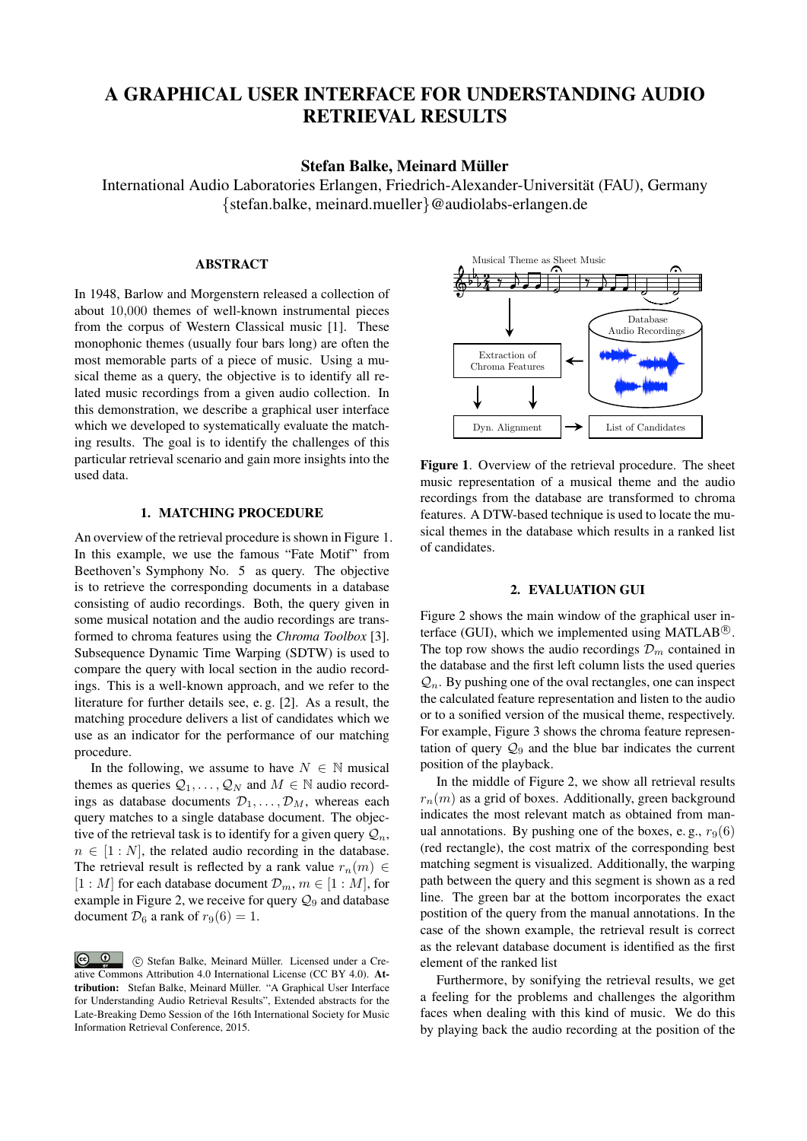# A GRAPHICAL USER INTERFACE FOR UNDERSTANDING AUDIO RETRIEVAL RESULTS

## Stefan Balke, Meinard Müller

International Audio Laboratories Erlangen, Friedrich-Alexander-Universität (FAU), Germany *{*stefan.balke, meinard.mueller*}*@audiolabs-erlangen.de

#### ABSTRACT

In 1948, Barlow and Morgenstern released a collection of about 10*,*000 themes of well-known instrumental pieces from the corpus of Western Classical music [1]. These monophonic themes (usually four bars long) are often the most memorable parts of a piece of music. Using a musical theme as a query, the objective is to identify all related music recordings from a given audio collection. In this demonstration, we describe a graphical user interface which we developed to systematically evaluate the matching results. The goal is to identify the challenges of this particular retrieval scenario and gain more insights into the used data.

### 1. MATCHING PROCEDURE

An overview of the retrieval procedure is shown in Figure 1. In this example, we use the famous "Fate Motif" from Beethoven's Symphony No. 5 as query. The objective is to retrieve the corresponding documents in a database consisting of audio recordings. Both, the query given in some musical notation and the audio recordings are transformed to chroma features using the *Chroma Toolbox* [3]. Subsequence Dynamic Time Warping (SDTW) is used to compare the query with local section in the audio recordings. This is a well-known approach, and we refer to the literature for further details see, e. g. [2]. As a result, the matching procedure delivers a list of candidates which we use as an indicator for the performance of our matching procedure.

In the following, we assume to have  $N \in \mathbb{N}$  musical themes as queries  $Q_1, \ldots, Q_N$  and  $M \in \mathbb{N}$  audio recordings as database documents  $\mathcal{D}_1, \ldots, \mathcal{D}_M$ , whereas each query matches to a single database document. The objective of the retrieval task is to identify for a given query  $\mathcal{Q}_n$ ,  $n \in [1 : N]$ , the related audio recording in the database. The retrieval result is reflected by a rank value  $r_n(m) \in$  $[1 : M]$  for each database document  $\mathcal{D}_m$ ,  $m \in [1 : M]$ , for example in Figure 2, we receive for query  $\mathcal{Q}_9$  and database document  $\mathcal{D}_6$  a rank of  $r_9(6) = 1$ .



Figure 1. Overview of the retrieval procedure. The sheet music representation of a musical theme and the audio recordings from the database are transformed to chroma features. A DTW-based technique is used to locate the musical themes in the database which results in a ranked list of candidates.

### 2. EVALUATION GUI

Figure 2 shows the main window of the graphical user interface (GUI), which we implemented using MATLAB $\mathcal{B}$ . The top row shows the audio recordings  $\mathcal{D}_m$  contained in the database and the first left column lists the used queries  $Q_n$ . By pushing one of the oval rectangles, one can inspect the calculated feature representation and listen to the audio or to a sonified version of the musical theme, respectively. For example, Figure 3 shows the chroma feature representation of query  $\mathcal{Q}_9$  and the blue bar indicates the current position of the playback.

In the middle of Figure 2, we show all retrieval results  $r_n(m)$  as a grid of boxes. Additionally, green background indicates the most relevant match as obtained from manual annotations. By pushing one of the boxes, e.g.,  $r_9(6)$ (red rectangle), the cost matrix of the corresponding best matching segment is visualized. Additionally, the warping path between the query and this segment is shown as a red line. The green bar at the bottom incorporates the exact postition of the query from the manual annotations. In the case of the shown example, the retrieval result is correct as the relevant database document is identified as the first element of the ranked list

Furthermore, by sonifying the retrieval results, we get a feeling for the problems and challenges the algorithm faces when dealing with this kind of music. We do this by playing back the audio recording at the position of the

 $\odot$  $\circled{c}$   $\circled{c}$  Stefan Balke, Meinard Müller. Licensed under a Creative Commons Attribution 4.0 International License (CC BY 4.0). Attribution: Stefan Balke, Meinard Müller. "A Graphical User Interface for Understanding Audio Retrieval Results", Extended abstracts for the Late-Breaking Demo Session of the 16th International Society for Music Information Retrieval Conference, 2015.